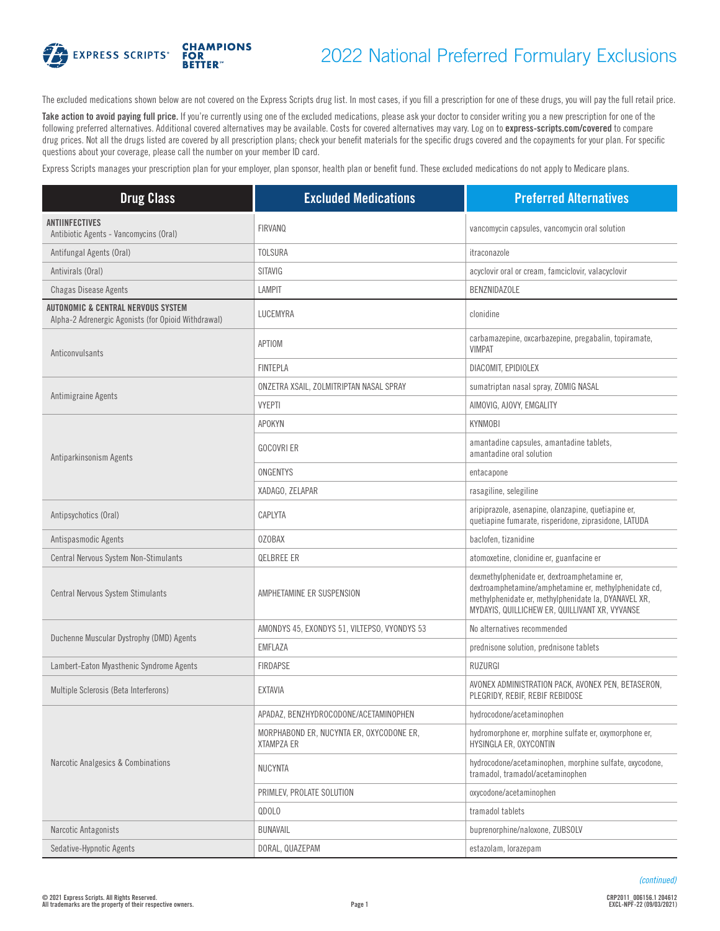

## 2022 National Preferred Formulary Exclusions

The excluded medications shown below are not covered on the Express Scripts drug list. In most cases, if you fill a prescription for one of these drugs, you will pay the full retail price.

Take action to avoid paying full price. If you're currently using one of the excluded medications, please ask your doctor to consider writing you a new prescription for one of the following preferred alternatives. Additional covered alternatives may be available. Costs for covered alternatives may vary. Log on to **[express-scripts.com/covered](https://express-scripts.com/covered)** to compare drug prices. Not all the drugs listed are covered by all prescription plans; check your benefit materials for the specific drugs covered and the copayments for your plan. For specific questions about your coverage, please call the number on your member ID card.

Express Scripts manages your prescription plan for your employer, plan sponsor, health plan or benefit fund. These excluded medications do not apply to Medicare plans.

| <b>Drug Class</b>                                                                         | <b>Excluded Medications</b>                                   | <b>Preferred Alternatives</b>                                                                                                                                                                                   |
|-------------------------------------------------------------------------------------------|---------------------------------------------------------------|-----------------------------------------------------------------------------------------------------------------------------------------------------------------------------------------------------------------|
| <b>ANTIINFECTIVES</b><br>Antibiotic Agents - Vancomycins (Oral)                           | <b>FIRVANQ</b>                                                | vancomycin capsules, vancomycin oral solution                                                                                                                                                                   |
| Antifungal Agents (Oral)                                                                  | <b>TOLSURA</b>                                                | itraconazole                                                                                                                                                                                                    |
| Antivirals (Oral)                                                                         | SITAVIG                                                       | acyclovir oral or cream, famciclovir, valacyclovir                                                                                                                                                              |
| <b>Chagas Disease Agents</b>                                                              | <b>LAMPIT</b>                                                 | <b>BENZNIDAZOLE</b>                                                                                                                                                                                             |
| AUTONOMIC & CENTRAL NERVOUS SYSTEM<br>Alpha-2 Adrenergic Agonists (for Opioid Withdrawal) | LUCEMYRA                                                      | clonidine                                                                                                                                                                                                       |
| Anticonvulsants                                                                           | APTIOM                                                        | carbamazepine, oxcarbazepine, pregabalin, topiramate,<br><b>VIMPAT</b>                                                                                                                                          |
|                                                                                           | <b>FINTEPLA</b>                                               | DIACOMIT, EPIDIOLEX                                                                                                                                                                                             |
|                                                                                           | ONZETRA XSAIL, ZOLMITRIPTAN NASAL SPRAY                       | sumatriptan nasal spray, ZOMIG NASAL                                                                                                                                                                            |
| Antimigraine Agents                                                                       | <b>VYEPTI</b>                                                 | AIMOVIG, AJOVY, EMGALITY                                                                                                                                                                                        |
|                                                                                           | <b>APOKYN</b>                                                 | <b>KYNMOBI</b>                                                                                                                                                                                                  |
| Antiparkinsonism Agents                                                                   | <b>GOCOVRI ER</b>                                             | amantadine capsules, amantadine tablets,<br>amantadine oral solution                                                                                                                                            |
|                                                                                           | ONGENTYS                                                      | entacapone                                                                                                                                                                                                      |
|                                                                                           | XADAGO, ZELAPAR                                               | rasagiline, selegiline                                                                                                                                                                                          |
| Antipsychotics (Oral)                                                                     | CAPLYTA                                                       | aripiprazole, asenapine, olanzapine, quetiapine er,<br>quetiapine fumarate, risperidone, ziprasidone, LATUDA                                                                                                    |
| Antispasmodic Agents                                                                      | <b>OZOBAX</b>                                                 | baclofen, tizanidine                                                                                                                                                                                            |
| Central Nervous System Non-Stimulants                                                     | <b>QELBREE ER</b>                                             | atomoxetine, clonidine er, guanfacine er                                                                                                                                                                        |
| Central Nervous System Stimulants                                                         | AMPHETAMINE ER SUSPENSION                                     | dexmethylphenidate er, dextroamphetamine er,<br>dextroamphetamine/amphetamine er, methylphenidate cd,<br>methylphenidate er, methylphenidate la, DYANAVEL XR,<br>MYDAYIS, QUILLICHEW ER, QUILLIVANT XR, VYVANSE |
|                                                                                           | AMONDYS 45, EXONDYS 51, VILTEPSO, VYONDYS 53                  | No alternatives recommended                                                                                                                                                                                     |
| Duchenne Muscular Dystrophy (DMD) Agents                                                  | EMFLAZA                                                       | prednisone solution, prednisone tablets                                                                                                                                                                         |
| Lambert-Eaton Myasthenic Syndrome Agents                                                  | <b>FIRDAPSE</b>                                               | RUZURGI                                                                                                                                                                                                         |
| Multiple Sclerosis (Beta Interferons)                                                     | <b>EXTAVIA</b>                                                | AVONEX ADMINISTRATION PACK, AVONEX PEN, BETASERON,<br>PLEGRIDY, REBIF, REBIF REBIDOSE                                                                                                                           |
|                                                                                           | APADAZ, BENZHYDROCODONE/ACETAMINOPHEN                         | hydrocodone/acetaminophen                                                                                                                                                                                       |
| Narcotic Analgesics & Combinations                                                        | MORPHABOND ER, NUCYNTA ER, OXYCODONE ER,<br><b>XTAMPZA ER</b> | hydromorphone er, morphine sulfate er, oxymorphone er,<br>HYSINGLA ER, OXYCONTIN                                                                                                                                |
|                                                                                           | <b>NUCYNTA</b>                                                | hydrocodone/acetaminophen, morphine sulfate, oxycodone,<br>tramadol, tramadol/acetaminophen                                                                                                                     |
|                                                                                           | PRIMLEV, PROLATE SOLUTION                                     | oxycodone/acetaminophen                                                                                                                                                                                         |
|                                                                                           | QDOLO                                                         | tramadol tablets                                                                                                                                                                                                |
| Narcotic Antagonists                                                                      | BUNAVAIL                                                      | buprenorphine/naloxone, ZUBSOLV                                                                                                                                                                                 |
| Sedative-Hypnotic Agents                                                                  | DORAL, QUAZEPAM                                               | estazolam, lorazepam                                                                                                                                                                                            |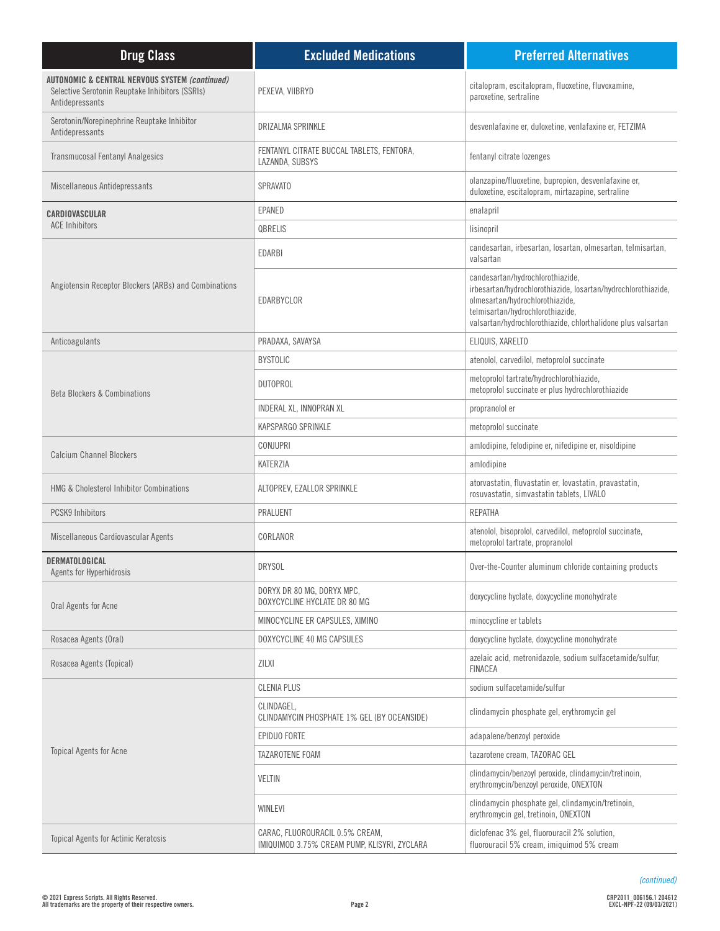| <b>Drug Class</b>                                                                                                               | <b>Excluded Medications</b>                                                     | <b>Preferred Alternatives</b>                                                                                                                                                                                                            |
|---------------------------------------------------------------------------------------------------------------------------------|---------------------------------------------------------------------------------|------------------------------------------------------------------------------------------------------------------------------------------------------------------------------------------------------------------------------------------|
| <b>AUTONOMIC &amp; CENTRAL NERVOUS SYSTEM (continued)</b><br>Selective Serotonin Reuptake Inhibitors (SSRIs)<br>Antidepressants | PEXEVA, VIIBRYD                                                                 | citalopram, escitalopram, fluoxetine, fluvoxamine,<br>paroxetine, sertraline                                                                                                                                                             |
| Serotonin/Norepinephrine Reuptake Inhibitor<br>Antidepressants                                                                  | DRIZALMA SPRINKLE                                                               | desvenlafaxine er, duloxetine, venlafaxine er, FETZIMA                                                                                                                                                                                   |
| <b>Transmucosal Fentanyl Analgesics</b>                                                                                         | FENTANYL CITRATE BUCCAL TABLETS, FENTORA,<br>LAZANDA, SUBSYS                    | fentanyl citrate lozenges                                                                                                                                                                                                                |
| Miscellaneous Antidepressants                                                                                                   | <b>SPRAVATO</b>                                                                 | olanzapine/fluoxetine, bupropion, desvenlafaxine er,<br>duloxetine, escitalopram, mirtazapine, sertraline                                                                                                                                |
| CARDIOVASCULAR                                                                                                                  | EPANED                                                                          | enalapril                                                                                                                                                                                                                                |
| <b>ACE Inhibitors</b>                                                                                                           | QBRELIS                                                                         | lisinopril                                                                                                                                                                                                                               |
|                                                                                                                                 | EDARBI                                                                          | candesartan, irbesartan, losartan, olmesartan, telmisartan,<br>valsartan                                                                                                                                                                 |
| Angiotensin Receptor Blockers (ARBs) and Combinations                                                                           | EDARBYCLOR                                                                      | candesartan/hydrochlorothiazide,<br>irbesartan/hydrochlorothiazide, losartan/hydrochlorothiazide,<br>olmesartan/hydrochlorothiazide,<br>telmisartan/hydrochlorothiazide,<br>valsartan/hydrochlorothiazide, chlorthalidone plus valsartan |
| Anticoagulants                                                                                                                  | PRADAXA, SAVAYSA                                                                | ELIQUIS, XARELTO                                                                                                                                                                                                                         |
|                                                                                                                                 | <b>BYSTOLIC</b>                                                                 | atenolol, carvedilol, metoprolol succinate                                                                                                                                                                                               |
| <b>Beta Blockers &amp; Combinations</b>                                                                                         | <b>DUTOPROL</b>                                                                 | metoprolol tartrate/hydrochlorothiazide,<br>metoprolol succinate er plus hydrochlorothiazide                                                                                                                                             |
|                                                                                                                                 | INDERAL XL, INNOPRAN XL                                                         | propranolol er                                                                                                                                                                                                                           |
|                                                                                                                                 | KAPSPARGO SPRINKLE                                                              | metoprolol succinate                                                                                                                                                                                                                     |
| <b>Calcium Channel Blockers</b>                                                                                                 | <b>CONJUPRI</b>                                                                 | amlodipine, felodipine er, nifedipine er, nisoldipine                                                                                                                                                                                    |
|                                                                                                                                 | KATERZIA                                                                        | amlodipine                                                                                                                                                                                                                               |
| <b>HMG &amp; Cholesterol Inhibitor Combinations</b>                                                                             | ALTOPREV, EZALLOR SPRINKLE                                                      | atorvastatin, fluvastatin er, lovastatin, pravastatin,<br>rosuvastatin, simvastatin tablets, LIVALO                                                                                                                                      |
| <b>PCSK9 Inhibitors</b>                                                                                                         | PRALUENT                                                                        | <b>REPATHA</b>                                                                                                                                                                                                                           |
| Miscellaneous Cardiovascular Agents                                                                                             | CORLANOR                                                                        | atenolol, bisoprolol, carvedilol, metoprolol succinate,<br>metoprolol tartrate, propranolol                                                                                                                                              |
| DERMATOLOGICAL<br>Agents for Hyperhidrosis                                                                                      | <b>DRYSOL</b>                                                                   | Over-the-Counter aluminum chloride containing products                                                                                                                                                                                   |
| Oral Agents for Acne                                                                                                            | DORYX DR 80 MG, DORYX MPC,<br>DOXYCYCLINE HYCLATE DR 80 MG                      | doxycycline hyclate, doxycycline monohydrate                                                                                                                                                                                             |
|                                                                                                                                 | MINOCYCLINE ER CAPSULES, XIMINO                                                 | minocycline er tablets                                                                                                                                                                                                                   |
| Rosacea Agents (Oral)                                                                                                           | DOXYCYCLINE 40 MG CAPSULES                                                      | doxycycline hyclate, doxycycline monohydrate                                                                                                                                                                                             |
| Rosacea Agents (Topical)                                                                                                        | <b>ZILXI</b>                                                                    | azelaic acid, metronidazole, sodium sulfacetamide/sulfur,<br><b>FINACEA</b>                                                                                                                                                              |
|                                                                                                                                 | <b>CLENIA PLUS</b>                                                              | sodium sulfacetamide/sulfur                                                                                                                                                                                                              |
| <b>Topical Agents for Acne</b>                                                                                                  | CLINDAGEL,<br>CLINDAMYCIN PHOSPHATE 1% GEL (BY OCEANSIDE)                       | clindamycin phosphate gel, erythromycin gel                                                                                                                                                                                              |
|                                                                                                                                 | EPIDUO FORTE                                                                    | adapalene/benzoyl peroxide                                                                                                                                                                                                               |
|                                                                                                                                 | TAZAROTENE FOAM                                                                 | tazarotene cream, TAZORAC GEL                                                                                                                                                                                                            |
|                                                                                                                                 | <b>VELTIN</b>                                                                   | clindamycin/benzoyl peroxide, clindamycin/tretinoin,<br>erythromycin/benzoyl peroxide, ONEXTON                                                                                                                                           |
|                                                                                                                                 | WINLEVI                                                                         | clindamycin phosphate gel, clindamycin/tretinoin,<br>erythromycin gel, tretinoin, ONEXTON                                                                                                                                                |
| Topical Agents for Actinic Keratosis                                                                                            | CARAC, FLUOROURACIL 0.5% CREAM,<br>IMIQUIMOD 3.75% CREAM PUMP, KLISYRI, ZYCLARA | diclofenac 3% gel, fluorouracil 2% solution,<br>fluorouracil 5% cream, imiquimod 5% cream                                                                                                                                                |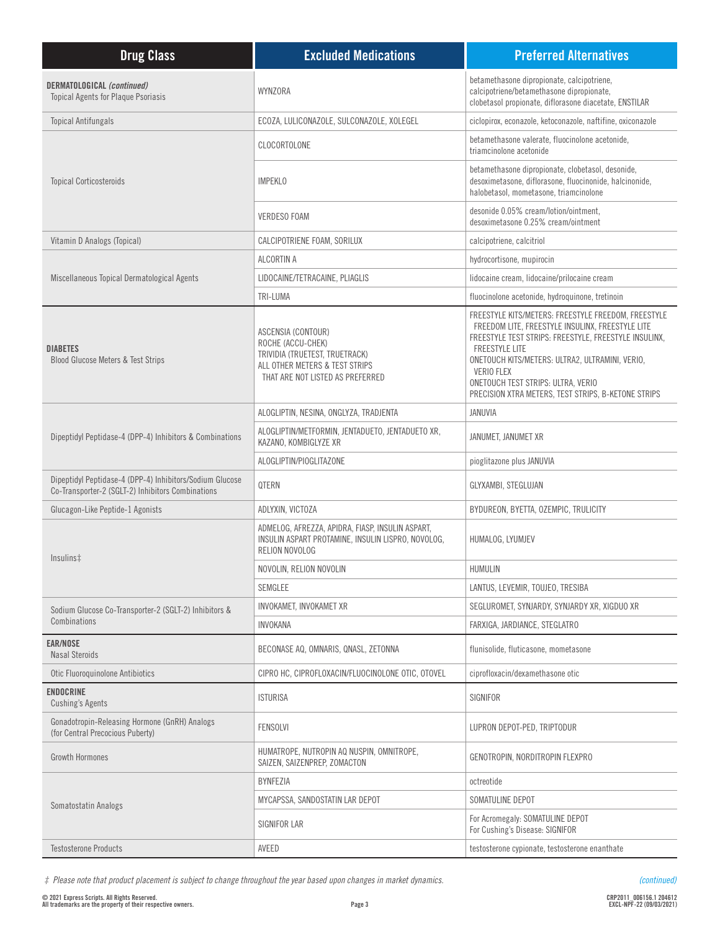| <b>Drug Class</b>                                                                                             | <b>Excluded Medications</b>                                                                                                                     | <b>Preferred Alternatives</b>                                                                                                                                                                                                                                                                                                                                  |
|---------------------------------------------------------------------------------------------------------------|-------------------------------------------------------------------------------------------------------------------------------------------------|----------------------------------------------------------------------------------------------------------------------------------------------------------------------------------------------------------------------------------------------------------------------------------------------------------------------------------------------------------------|
| DERMATOLOGICAL (continued)<br><b>Topical Agents for Plaque Psoriasis</b>                                      | WYNZORA                                                                                                                                         | betamethasone dipropionate, calcipotriene,<br>calcipotriene/betamethasone dipropionate,<br>clobetasol propionate, diflorasone diacetate, ENSTILAR                                                                                                                                                                                                              |
| <b>Topical Antifungals</b>                                                                                    | ECOZA, LULICONAZOLE, SULCONAZOLE, XOLEGEL                                                                                                       | ciclopirox, econazole, ketoconazole, naftifine, oxiconazole                                                                                                                                                                                                                                                                                                    |
|                                                                                                               | CLOCORTOLONE                                                                                                                                    | betamethasone valerate, fluocinolone acetonide,<br>triamcinolone acetonide                                                                                                                                                                                                                                                                                     |
| <b>Topical Corticosteroids</b>                                                                                | <b>IMPEKLO</b>                                                                                                                                  | betamethasone dipropionate, clobetasol, desonide,<br>desoximetasone, diflorasone, fluocinonide, halcinonide,<br>halobetasol, mometasone, triamcinolone                                                                                                                                                                                                         |
|                                                                                                               | <b>VERDESO FOAM</b>                                                                                                                             | desonide 0.05% cream/lotion/ointment,<br>desoximetasone 0.25% cream/ointment                                                                                                                                                                                                                                                                                   |
| Vitamin D Analogs (Topical)                                                                                   | CALCIPOTRIENE FOAM, SORILUX                                                                                                                     | calcipotriene, calcitriol                                                                                                                                                                                                                                                                                                                                      |
|                                                                                                               | ALCORTIN A                                                                                                                                      | hydrocortisone, mupirocin                                                                                                                                                                                                                                                                                                                                      |
| Miscellaneous Topical Dermatological Agents                                                                   | LIDOCAINE/TETRACAINE, PLIAGLIS                                                                                                                  | lidocaine cream, lidocaine/prilocaine cream                                                                                                                                                                                                                                                                                                                    |
|                                                                                                               | TRI-LUMA                                                                                                                                        | fluocinolone acetonide, hydroquinone, tretinoin                                                                                                                                                                                                                                                                                                                |
| <b>DIABETES</b><br>Blood Glucose Meters & Test Strips                                                         | ASCENSIA (CONTOUR)<br>ROCHE (ACCU-CHEK)<br>TRIVIDIA (TRUETEST, TRUETRACK)<br>ALL OTHER METERS & TEST STRIPS<br>THAT ARE NOT LISTED AS PREFERRED | FREESTYLE KITS/METERS: FREESTYLE FREEDOM, FREESTYLE<br>FREEDOM LITE, FREESTYLE INSULINX, FREESTYLE LITE<br>FREESTYLE TEST STRIPS: FREESTYLE, FREESTYLE INSULINX,<br><b>FREESTYLE LITE</b><br>ONETOUCH KITS/METERS: ULTRA2, ULTRAMINI, VERIO,<br><b>VERIO FLEX</b><br>ONETOUCH TEST STRIPS: ULTRA, VERIO<br>PRECISION XTRA METERS, TEST STRIPS, B-KETONE STRIPS |
|                                                                                                               | ALOGLIPTIN, NESINA, ONGLYZA, TRADJENTA                                                                                                          | JANUVIA                                                                                                                                                                                                                                                                                                                                                        |
| Dipeptidyl Peptidase-4 (DPP-4) Inhibitors & Combinations                                                      | ALOGLIPTIN/METFORMIN, JENTADUETO, JENTADUETO XR,<br>KAZANO, KOMBIGLYZE XR                                                                       | JANUMET, JANUMET XR                                                                                                                                                                                                                                                                                                                                            |
|                                                                                                               | ALOGLIPTIN/PIOGLITAZONE                                                                                                                         | pioglitazone plus JANUVIA                                                                                                                                                                                                                                                                                                                                      |
| Dipeptidyl Peptidase-4 (DPP-4) Inhibitors/Sodium Glucose<br>Co-Transporter-2 (SGLT-2) Inhibitors Combinations | QTERN                                                                                                                                           | GLYXAMBI, STEGLUJAN                                                                                                                                                                                                                                                                                                                                            |
| Glucagon-Like Peptide-1 Agonists                                                                              | ADLYXIN, VICTOZA                                                                                                                                | BYDUREON, BYETTA, OZEMPIC, TRULICITY                                                                                                                                                                                                                                                                                                                           |
| Insulins‡                                                                                                     | ADMELOG, AFREZZA, APIDRA, FIASP, INSULIN ASPART,<br>INSULIN ASPART PROTAMINE, INSULIN LISPRO, NOVOLOG,<br>RELION NOVOLOG                        | HUMALOG, LYUMJEV                                                                                                                                                                                                                                                                                                                                               |
|                                                                                                               | NOVOLIN, RELION NOVOLIN                                                                                                                         | HUMULIN                                                                                                                                                                                                                                                                                                                                                        |
|                                                                                                               | SEMGLEE                                                                                                                                         | LANTUS, LEVEMIR, TOUJEO, TRESIBA                                                                                                                                                                                                                                                                                                                               |
| Sodium Glucose Co-Transporter-2 (SGLT-2) Inhibitors &                                                         | INVOKAMET, INVOKAMET XR                                                                                                                         | SEGLUROMET, SYNJARDY, SYNJARDY XR, XIGDUO XR                                                                                                                                                                                                                                                                                                                   |
| Combinations                                                                                                  | INVOKANA                                                                                                                                        | FARXIGA, JARDIANCE, STEGLATRO                                                                                                                                                                                                                                                                                                                                  |
| <b>EAR/NOSE</b><br><b>Nasal Steroids</b>                                                                      | BECONASE AQ, OMNARIS, QNASL, ZETONNA                                                                                                            | flunisolide, fluticasone, mometasone                                                                                                                                                                                                                                                                                                                           |
| Otic Fluoroquinolone Antibiotics                                                                              | CIPRO HC, CIPROFLOXACIN/FLUOCINOLONE OTIC, OTOVEL                                                                                               | ciprofloxacin/dexamethasone otic                                                                                                                                                                                                                                                                                                                               |
| <b>ENDOCRINE</b><br><b>Cushing's Agents</b>                                                                   | <b>ISTURISA</b>                                                                                                                                 | SIGNIFOR                                                                                                                                                                                                                                                                                                                                                       |
| Gonadotropin-Releasing Hormone (GnRH) Analogs<br>(for Central Precocious Puberty)                             | <b>FENSOLVI</b>                                                                                                                                 | LUPRON DEPOT-PED, TRIPTODUR                                                                                                                                                                                                                                                                                                                                    |
| <b>Growth Hormones</b>                                                                                        | HUMATROPE, NUTROPIN AQ NUSPIN, OMNITROPE,<br>SAIZEN, SAIZENPREP, ZOMACTON                                                                       | GENOTROPIN, NORDITROPIN FLEXPRO                                                                                                                                                                                                                                                                                                                                |
|                                                                                                               | BYNFEZIA                                                                                                                                        | octreotide                                                                                                                                                                                                                                                                                                                                                     |
| Somatostatin Analogs                                                                                          | MYCAPSSA, SANDOSTATIN LAR DEPOT                                                                                                                 | SOMATULINE DEPOT                                                                                                                                                                                                                                                                                                                                               |
|                                                                                                               | SIGNIFOR LAR                                                                                                                                    | For Acromegaly: SOMATULINE DEPOT<br>For Cushing's Disease: SIGNIFOR                                                                                                                                                                                                                                                                                            |
| <b>Testosterone Products</b>                                                                                  | AVEED                                                                                                                                           | testosterone cypionate, testosterone enanthate                                                                                                                                                                                                                                                                                                                 |

*‡ Please note that product placement is subject to change throughout the year based upon changes in market dynamics.*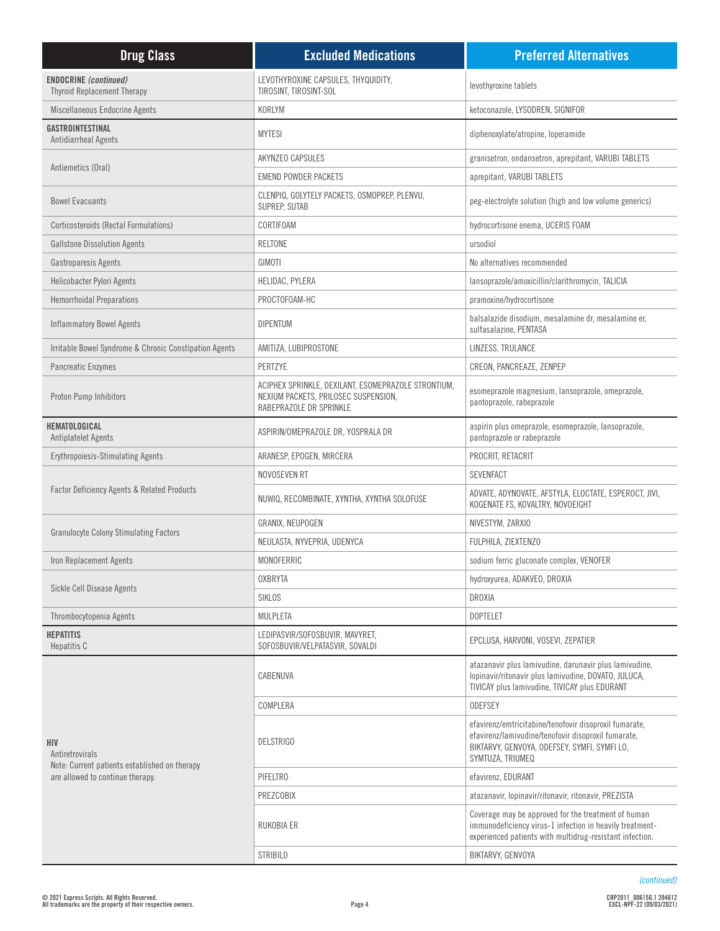| <b>Drug Class</b>                                                                                           | <b>Excluded Medications</b>                                                                                            | <b>Preferred Alternatives</b>                                                                                                                                                     |
|-------------------------------------------------------------------------------------------------------------|------------------------------------------------------------------------------------------------------------------------|-----------------------------------------------------------------------------------------------------------------------------------------------------------------------------------|
| <b>ENDOCRINE</b> (continued)<br><b>Thyroid Replacement Therapy</b>                                          | LEVOTHYROXINE CAPSULES, THYQUIDITY,<br>TIROSINT, TIROSINT-SOL                                                          | levothyroxine tablets                                                                                                                                                             |
| Miscellaneous Endocrine Agents                                                                              | KORLYM                                                                                                                 | ketoconazole, LYSODREN, SIGNIFOR                                                                                                                                                  |
| GASTROINTESTINAL<br>Antidiarrheal Agents                                                                    | <b>MYTESI</b>                                                                                                          | diphenoxylate/atropine, loperamide                                                                                                                                                |
|                                                                                                             | AKYNZEO CAPSULES                                                                                                       | granisetron, ondansetron, aprepitant, VARUBI TABLETS                                                                                                                              |
| Antiemetics (Oral)                                                                                          | <b>EMEND POWDER PACKETS</b>                                                                                            | aprepitant, VARUBI TABLETS                                                                                                                                                        |
| <b>Bowel Evacuants</b>                                                                                      | CLENPIQ, GOLYTELY PACKETS, OSMOPREP, PLENVU,<br>SUPREP, SUTAB                                                          | peg-electrolyte solution (high and low volume generics)                                                                                                                           |
| Corticosteroids (Rectal Formulations)                                                                       | CORTIFOAM                                                                                                              | hydrocortisone enema, UCERIS FOAM                                                                                                                                                 |
| <b>Gallstone Dissolution Agents</b>                                                                         | <b>RELTONE</b>                                                                                                         | ursodiol                                                                                                                                                                          |
| Gastroparesis Agents                                                                                        | GIMOTI                                                                                                                 | No alternatives recommended                                                                                                                                                       |
| Helicobacter Pylori Agents                                                                                  | HELIDAC, PYLERA                                                                                                        | lansoprazole/amoxicillin/clarithromycin, TALICIA                                                                                                                                  |
| <b>Hemorrhoidal Preparations</b>                                                                            | PROCTOFOAM-HC                                                                                                          | pramoxine/hydrocortisone                                                                                                                                                          |
| <b>Inflammatory Bowel Agents</b>                                                                            | <b>DIPENTUM</b>                                                                                                        | balsalazide disodium, mesalamine dr, mesalamine er,<br>sulfasalazine, PENTASA                                                                                                     |
| Irritable Bowel Syndrome & Chronic Constipation Agents                                                      | AMITIZA, LUBIPROSTONE                                                                                                  | LINZESS, TRULANCE                                                                                                                                                                 |
| Pancreatic Enzymes                                                                                          | PERTZYE                                                                                                                | CREON, PANCREAZE, ZENPEP                                                                                                                                                          |
| Proton Pump Inhibitors                                                                                      | ACIPHEX SPRINKLE, DEXILANT, ESOMEPRAZOLE STRONTIUM,<br>NEXIUM PACKETS, PRILOSEC SUSPENSION,<br>RABEPRAZOLE DR SPRINKLE | esomeprazole magnesium, lansoprazole, omeprazole,<br>pantoprazole, rabeprazole                                                                                                    |
| HEMATOLOGICAL<br><b>Antiplatelet Agents</b>                                                                 | ASPIRIN/OMEPRAZOLE DR, YOSPRALA DR                                                                                     | aspirin plus omeprazole, esomeprazole, lansoprazole,<br>pantoprazole or rabeprazole                                                                                               |
| <b>Erythropoiesis-Stimulating Agents</b>                                                                    | ARANESP, EPOGEN, MIRCERA                                                                                               | PROCRIT, RETACRIT                                                                                                                                                                 |
|                                                                                                             | NOVOSEVEN RT                                                                                                           | <b>SEVENFACT</b>                                                                                                                                                                  |
| <b>Factor Deficiency Agents &amp; Related Products</b>                                                      | NUWIQ, RECOMBINATE, XYNTHA, XYNTHA SOLOFUSE                                                                            | ADVATE, ADYNOVATE, AFSTYLA, ELOCTATE, ESPEROCT, JIVI,<br>KOGENATE FS, KOVALTRY, NOVOEIGHT                                                                                         |
|                                                                                                             | GRANIX, NEUPOGEN                                                                                                       | NIVESTYM, ZARXIO                                                                                                                                                                  |
| <b>Granulocyte Colony Stimulating Factors</b>                                                               | NEULASTA, NYVEPRIA, UDENYCA                                                                                            | FULPHILA, ZIEXTENZO                                                                                                                                                               |
| Iron Replacement Agents                                                                                     | MONOFERRIC                                                                                                             | sodium ferric gluconate complex, VENOFER                                                                                                                                          |
|                                                                                                             | <b>OXBRYTA</b>                                                                                                         | hydroxyurea, ADAKVEO, DROXIA                                                                                                                                                      |
| Sickle Cell Disease Agents                                                                                  | SIKLOS                                                                                                                 | DROXIA                                                                                                                                                                            |
| Thrombocytopenia Agents                                                                                     | MULPLETA                                                                                                               | <b>DOPTELET</b>                                                                                                                                                                   |
| <b>HEPATITIS</b><br>Hepatitis C                                                                             | LEDIPASVIR/SOFOSBUVIR, MAVYRET,<br>SOFOSBUVIR/VELPATASVIR, SOVALDI                                                     | EPCLUSA, HARVONI, VOSEVI, ZEPATIER                                                                                                                                                |
|                                                                                                             | CABENUVA                                                                                                               | atazanavir plus lamivudine, darunavir plus lamivudine,<br>lopinavir/ritonavir plus lamivudine, DOVATO, JULUCA,<br>TIVICAY plus lamivudine, TIVICAY plus EDURANT                   |
|                                                                                                             | COMPLERA                                                                                                               | <b>ODEFSEY</b>                                                                                                                                                                    |
| HIV<br>Antiretrovirals<br>Note: Current patients established on therapy<br>are allowed to continue therapy. | <b>DELSTRIGO</b>                                                                                                       | efavirenz/emtricitabine/tenofovir disoproxil fumarate,<br>efavirenz/lamivudine/tenofovir disoproxil fumarate,<br>BIKTARVY, GENVOYA, ODEFSEY, SYMFI, SYMFI LO,<br>SYMTUZA, TRIUMEQ |
|                                                                                                             | PIFELTRO                                                                                                               | efavirenz, EDURANT                                                                                                                                                                |
|                                                                                                             | PREZCOBIX                                                                                                              | atazanavir, lopinavir/ritonavir, ritonavir, PREZISTA                                                                                                                              |
|                                                                                                             | RUKOBIA ER                                                                                                             | Coverage may be approved for the treatment of human<br>immunodeficiency virus-1 infection in heavily treatment-<br>experienced patients with multidrug-resistant infection.       |
|                                                                                                             | <b>STRIBILD</b>                                                                                                        | BIKTARVY, GENVOYA                                                                                                                                                                 |

*(continued)*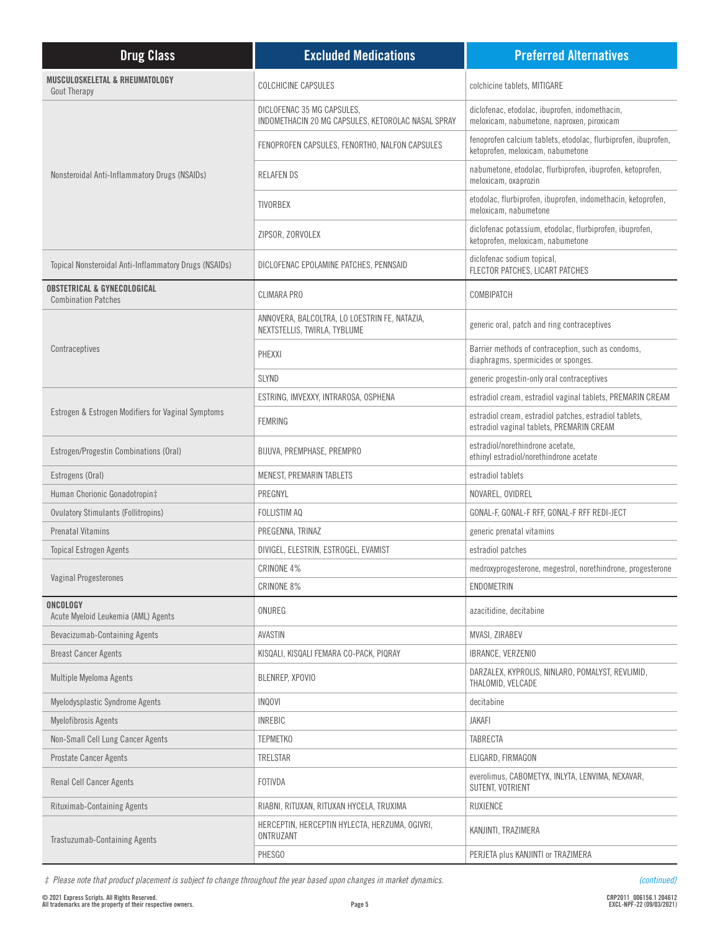| <b>Drug Class</b>                                                    | <b>Excluded Medications</b>                                                      | <b>Preferred Alternatives</b>                                                                       |
|----------------------------------------------------------------------|----------------------------------------------------------------------------------|-----------------------------------------------------------------------------------------------------|
| MUSCULOSKELETAL & RHEUMATOLOGY<br>Gout Therapy                       | <b>COLCHICINE CAPSULES</b>                                                       | colchicine tablets, MITIGARE                                                                        |
|                                                                      | DICLOFENAC 35 MG CAPSULES,<br>INDOMETHACIN 20 MG CAPSULES, KETOROLAC NASAL SPRAY | diclofenac, etodolac, ibuprofen, indomethacin,<br>meloxicam, nabumetone, naproxen, piroxicam        |
|                                                                      | FENOPROFEN CAPSULES, FENORTHO, NALFON CAPSULES                                   | fenoprofen calcium tablets, etodolac, flurbiprofen, ibuprofen,<br>ketoprofen, meloxicam, nabumetone |
| Nonsteroidal Anti-Inflammatory Drugs (NSAIDs)                        | <b>RELAFENDS</b>                                                                 | nabumetone, etodolac, flurbiprofen, ibuprofen, ketoprofen,<br>meloxicam, oxaprozin                  |
|                                                                      | <b>TIVORBEX</b>                                                                  | etodolac, flurbiprofen, ibuprofen, indomethacin, ketoprofen,<br>meloxicam, nabumetone               |
|                                                                      | ZIPSOR, ZORVOLEX                                                                 | diclofenac potassium, etodolac, flurbiprofen, ibuprofen,<br>ketoprofen, meloxicam, nabumetone       |
| Topical Nonsteroidal Anti-Inflammatory Drugs (NSAIDs)                | DICLOFENAC EPOLAMINE PATCHES, PENNSAID                                           | diclofenac sodium topical,<br>FLECTOR PATCHES, LICART PATCHES                                       |
| <b>OBSTETRICAL &amp; GYNECOLOGICAL</b><br><b>Combination Patches</b> | <b>CLIMARA PRO</b>                                                               | COMBIPATCH                                                                                          |
|                                                                      | ANNOVERA, BALCOLTRA, LO LOESTRIN FE, NATAZIA,<br>NEXTSTELLIS, TWIRLA, TYBLUME    | generic oral, patch and ring contraceptives                                                         |
| Contraceptives                                                       | PHEXXI                                                                           | Barrier methods of contraception, such as condoms,<br>diaphragms, spermicides or sponges.           |
|                                                                      | <b>SLYND</b>                                                                     | generic progestin-only oral contraceptives                                                          |
|                                                                      | ESTRING, IMVEXXY, INTRAROSA, OSPHENA                                             | estradiol cream, estradiol vaginal tablets, PREMARIN CREAM                                          |
| Estrogen & Estrogen Modifiers for Vaginal Symptoms                   | <b>FEMRING</b>                                                                   | estradiol cream, estradiol patches, estradiol tablets,<br>estradiol vaginal tablets, PREMARIN CREAM |
| Estrogen/Progestin Combinations (Oral)                               | BIJUVA, PREMPHASE, PREMPRO                                                       | estradiol/norethindrone acetate,<br>ethinyl estradiol/norethindrone acetate                         |
| Estrogens (Oral)                                                     | MENEST, PREMARIN TABLETS                                                         | estradiol tablets                                                                                   |
| Human Chorionic Gonadotropin‡                                        | PREGNYL                                                                          | NOVAREL, OVIDREL                                                                                    |
| <b>Ovulatory Stimulants (Follitropins)</b>                           | <b>FOLLISTIM AQ</b>                                                              | GONAL-F, GONAL-F RFF, GONAL-F RFF REDI-JECT                                                         |
| Prenatal Vitamins                                                    | PREGENNA, TRINAZ                                                                 | generic prenatal vitamins                                                                           |
| <b>Topical Estrogen Agents</b>                                       | DIVIGEL, ELESTRIN, ESTROGEL, EVAMIST                                             | estradiol patches                                                                                   |
| Vaginal Progesterones                                                | CRINONE 4%                                                                       | medroxyprogesterone, megestrol, norethindrone, progesterone                                         |
|                                                                      | CRINONE 8%                                                                       | ENDOMETRIN                                                                                          |
| ONCOLOGY<br>Acute Myeloid Leukemia (AML) Agents                      | ONUREG                                                                           | azacitidine, decitabine                                                                             |
| Bevacizumab-Containing Agents                                        | AVASTIN                                                                          | MVASI, ZIRABEV                                                                                      |
| <b>Breast Cancer Agents</b>                                          | KISQALI, KISQALI FEMARA CO-PACK, PIQRAY                                          | IBRANCE, VERZENIO                                                                                   |
| <b>Multiple Myeloma Agents</b>                                       | BLENREP. XPOVIO                                                                  | DARZALEX, KYPROLIS, NINLARO, POMALYST, REVLIMID,<br>THALOMID, VELCADE                               |
| Myelodysplastic Syndrome Agents                                      | INQOVI                                                                           | decitabine                                                                                          |
| Myelofibrosis Agents                                                 | <b>INREBIC</b>                                                                   | <b>JAKAFI</b>                                                                                       |
| Non-Small Cell Lung Cancer Agents                                    | <b>TEPMETKO</b>                                                                  | <b>TABRECTA</b>                                                                                     |
| <b>Prostate Cancer Agents</b>                                        | TRELSTAR                                                                         | ELIGARD, FIRMAGON                                                                                   |
| <b>Renal Cell Cancer Agents</b>                                      | FOTIVDA                                                                          | everolimus, CABOMETYX, INLYTA, LENVIMA, NEXAVAR,<br>SUTENT, VOTRIENT                                |
| Rituximab-Containing Agents                                          | RIABNI, RITUXAN, RITUXAN HYCELA, TRUXIMA                                         | <b>RUXIENCE</b>                                                                                     |
| <b>Trastuzumab-Containing Agents</b>                                 | HERCEPTIN, HERCEPTIN HYLECTA, HERZUMA, OGIVRI,<br>ONTRUZANT                      | KANJINTI, TRAZIMERA                                                                                 |
|                                                                      | PHESGO                                                                           | PERJETA plus KANJINTI or TRAZIMERA                                                                  |

*‡ Please note that product placement is subject to change throughout the year based upon changes in market dynamics.*

*(continued)*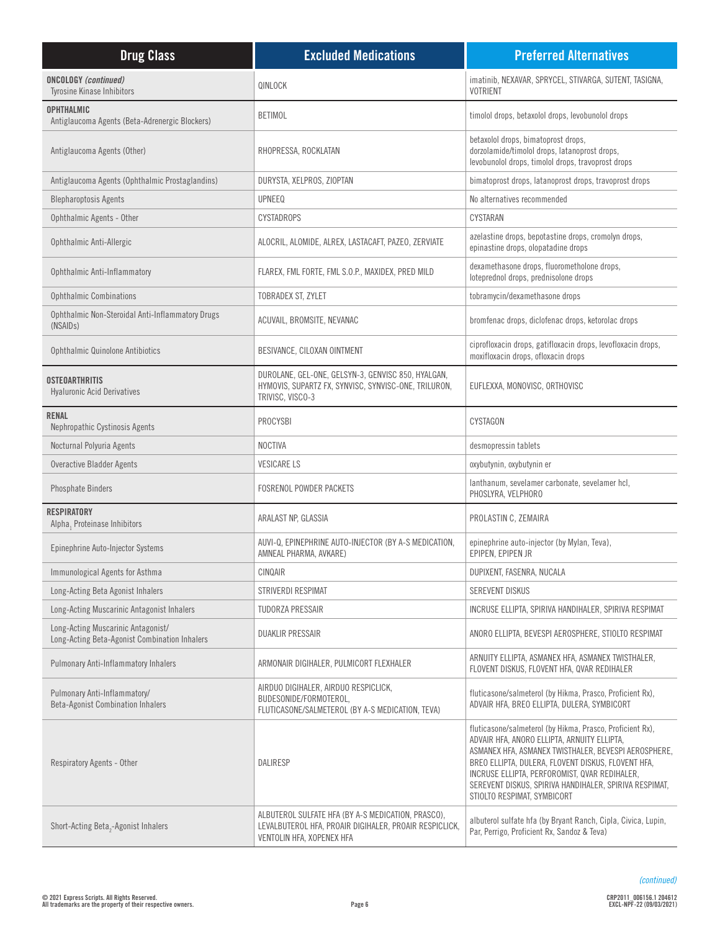| <b>Drug Class</b>                                                                   | <b>Excluded Medications</b>                                                                                                               | <b>Preferred Alternatives</b>                                                                                                                                                                                                                                                                                                                                    |
|-------------------------------------------------------------------------------------|-------------------------------------------------------------------------------------------------------------------------------------------|------------------------------------------------------------------------------------------------------------------------------------------------------------------------------------------------------------------------------------------------------------------------------------------------------------------------------------------------------------------|
| <b>ONCOLOGY</b> (continued)<br><b>Tyrosine Kinase Inhibitors</b>                    | QINLOCK                                                                                                                                   | imatinib, NEXAVAR, SPRYCEL, STIVARGA, SUTENT, TASIGNA,<br><b>VOTRIENT</b>                                                                                                                                                                                                                                                                                        |
| <b>OPHTHALMIC</b><br>Antiglaucoma Agents (Beta-Adrenergic Blockers)                 | <b>BETIMOL</b>                                                                                                                            | timolol drops, betaxolol drops, levobunolol drops                                                                                                                                                                                                                                                                                                                |
| Antiglaucoma Agents (Other)                                                         | RHOPRESSA, ROCKLATAN                                                                                                                      | betaxolol drops, bimatoprost drops,<br>dorzolamide/timolol drops, latanoprost drops,<br>levobunolol drops, timolol drops, travoprost drops                                                                                                                                                                                                                       |
| Antiglaucoma Agents (Ophthalmic Prostaglandins)                                     | DURYSTA, XELPROS, ZIOPTAN                                                                                                                 | bimatoprost drops, latanoprost drops, travoprost drops                                                                                                                                                                                                                                                                                                           |
| <b>Blepharoptosis Agents</b>                                                        | <b>UPNEEQ</b>                                                                                                                             | No alternatives recommended                                                                                                                                                                                                                                                                                                                                      |
| Ophthalmic Agents - Other                                                           | <b>CYSTADROPS</b>                                                                                                                         | CYSTARAN                                                                                                                                                                                                                                                                                                                                                         |
| Ophthalmic Anti-Allergic                                                            | ALOCRIL, ALOMIDE, ALREX, LASTACAFT, PAZEO, ZERVIATE                                                                                       | azelastine drops, bepotastine drops, cromolyn drops,<br>epinastine drops, olopatadine drops                                                                                                                                                                                                                                                                      |
| Ophthalmic Anti-Inflammatory                                                        | FLAREX, FML FORTE, FML S.O.P., MAXIDEX, PRED MILD                                                                                         | dexamethasone drops, fluorometholone drops,<br>loteprednol drops, prednisolone drops                                                                                                                                                                                                                                                                             |
| <b>Ophthalmic Combinations</b>                                                      | TOBRADEX ST, ZYLET                                                                                                                        | tobramycin/dexamethasone drops                                                                                                                                                                                                                                                                                                                                   |
| Ophthalmic Non-Steroidal Anti-Inflammatory Drugs<br>(NSAID <sub>s</sub> )           | ACUVAIL, BROMSITE, NEVANAC                                                                                                                | bromfenac drops, diclofenac drops, ketorolac drops                                                                                                                                                                                                                                                                                                               |
| Ophthalmic Quinolone Antibiotics                                                    | BESIVANCE, CILOXAN OINTMENT                                                                                                               | ciprofloxacin drops, gatifloxacin drops, levofloxacin drops,<br>moxifloxacin drops, ofloxacin drops                                                                                                                                                                                                                                                              |
| <b>OSTEOARTHRITIS</b><br><b>Hyaluronic Acid Derivatives</b>                         | DUROLANE, GEL-ONE, GELSYN-3, GENVISC 850, HYALGAN,<br>HYMOVIS, SUPARTZ FX, SYNVISC, SYNVISC-ONE, TRILURON,<br>TRIVISC, VISCO-3            | EUFLEXXA, MONOVISC, ORTHOVISC                                                                                                                                                                                                                                                                                                                                    |
| <b>RENAL</b><br>Nephropathic Cystinosis Agents                                      | PROCYSBI                                                                                                                                  | CYSTAGON                                                                                                                                                                                                                                                                                                                                                         |
| Nocturnal Polyuria Agents                                                           | <b>NOCTIVA</b>                                                                                                                            | desmopressin tablets                                                                                                                                                                                                                                                                                                                                             |
| Overactive Bladder Agents                                                           | <b>VESICARE LS</b>                                                                                                                        | oxybutynin, oxybutynin er                                                                                                                                                                                                                                                                                                                                        |
| <b>Phosphate Binders</b>                                                            | <b>FOSRENOL POWDER PACKETS</b>                                                                                                            | lanthanum, sevelamer carbonate, sevelamer hcl,<br>PHOSLYRA, VELPHORO                                                                                                                                                                                                                                                                                             |
| <b>RESPIRATORY</b><br>Alpha, Proteinase Inhibitors                                  | ARALAST NP, GLASSIA                                                                                                                       | PROLASTIN C, ZEMAIRA                                                                                                                                                                                                                                                                                                                                             |
| Epinephrine Auto-Injector Systems                                                   | AUVI-Q, EPINEPHRINE AUTO-INJECTOR (BY A-S MEDICATION,<br>AMNEAL PHARMA, AVKARE)                                                           | epinephrine auto-injector (by Mylan, Teva),<br>EPIPEN, EPIPEN JR                                                                                                                                                                                                                                                                                                 |
| Immunological Agents for Asthma                                                     | CINQAIR                                                                                                                                   | DUPIXENT, FASENRA, NUCALA                                                                                                                                                                                                                                                                                                                                        |
| Long-Acting Beta Agonist Inhalers                                                   | STRIVERDI RESPIMAT                                                                                                                        | <b>SEREVENT DISKUS</b>                                                                                                                                                                                                                                                                                                                                           |
| Long-Acting Muscarinic Antagonist Inhalers                                          | <b>TUDORZA PRESSAIR</b>                                                                                                                   | INCRUSE ELLIPTA, SPIRIVA HANDIHALER, SPIRIVA RESPIMAT                                                                                                                                                                                                                                                                                                            |
| Long-Acting Muscarinic Antagonist/<br>Long-Acting Beta-Agonist Combination Inhalers | <b>DUAKLIR PRESSAIR</b>                                                                                                                   | ANORO ELLIPTA, BEVESPI AEROSPHERE, STIOLTO RESPIMAT                                                                                                                                                                                                                                                                                                              |
| <b>Pulmonary Anti-Inflammatory Inhalers</b>                                         | ARMONAIR DIGIHALER, PULMICORT FLEXHALER                                                                                                   | ARNUITY ELLIPTA, ASMANEX HFA, ASMANEX TWISTHALER,<br>FLOVENT DISKUS, FLOVENT HFA, QVAR REDIHALER                                                                                                                                                                                                                                                                 |
| Pulmonary Anti-Inflammatory/<br><b>Beta-Agonist Combination Inhalers</b>            | AIRDUO DIGIHALER, AIRDUO RESPICLICK,<br>BUDESONIDE/FORMOTEROL,<br>FLUTICASONE/SALMETEROL (BY A-S MEDICATION, TEVA)                        | fluticasone/salmeterol (by Hikma, Prasco, Proficient Rx),<br>ADVAIR HFA, BREO ELLIPTA, DULERA, SYMBICORT                                                                                                                                                                                                                                                         |
| Respiratory Agents - Other                                                          | DALIRESP                                                                                                                                  | fluticasone/salmeterol (by Hikma, Prasco, Proficient Rx),<br>ADVAIR HFA, ANORO ELLIPTA, ARNUITY ELLIPTA,<br>ASMANEX HFA, ASMANEX TWISTHALER, BEVESPI AEROSPHERE,<br>BREO ELLIPTA, DULERA, FLOVENT DISKUS, FLOVENT HFA,<br>INCRUSE ELLIPTA, PERFOROMIST, QVAR REDIHALER,<br>SEREVENT DISKUS, SPIRIVA HANDIHALER, SPIRIVA RESPIMAT,<br>STIOLTO RESPIMAT, SYMBICORT |
| Short-Acting Beta <sub>2</sub> -Agonist Inhalers                                    | ALBUTEROL SULFATE HFA (BY A-S MEDICATION, PRASCO),<br>LEVALBUTEROL HFA, PROAIR DIGIHALER, PROAIR RESPICLICK,<br>VENTOLIN HFA, XOPENEX HFA | albuterol sulfate hfa (by Bryant Ranch, Cipla, Civica, Lupin,<br>Par, Perrigo, Proficient Rx, Sandoz & Teva)                                                                                                                                                                                                                                                     |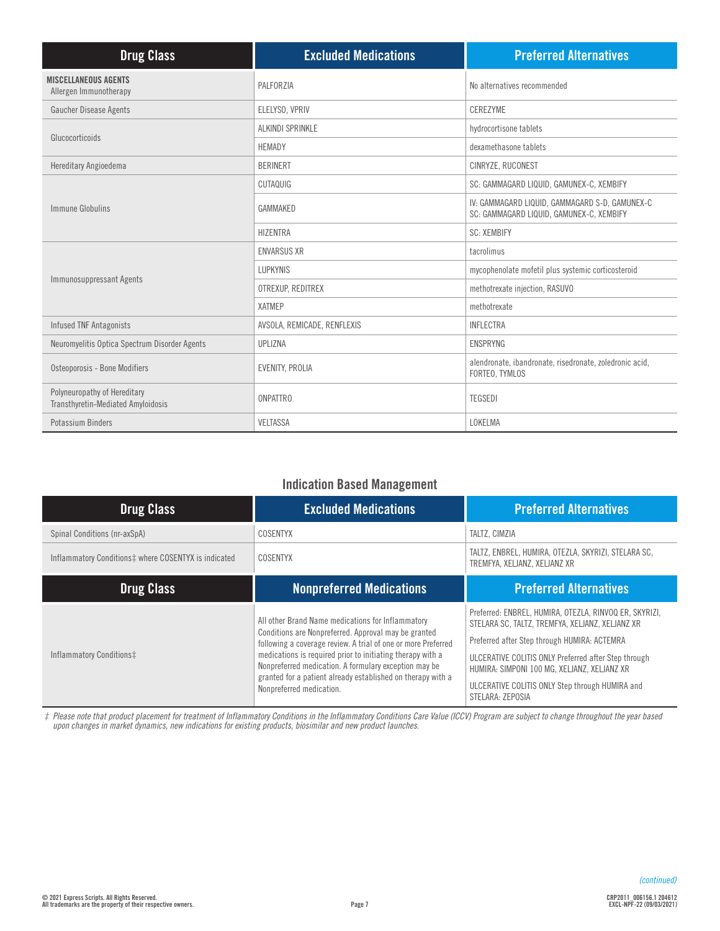| <b>Drug Class</b>                                                  | <b>Excluded Medications</b> | <b>Preferred Alternatives</b>                                                              |
|--------------------------------------------------------------------|-----------------------------|--------------------------------------------------------------------------------------------|
| <b>MISCELLANEOUS AGENTS</b><br>Allergen Immunotherapy              | PALFORZIA                   | No alternatives recommended                                                                |
| Gaucher Disease Agents                                             | ELELYSO, VPRIV              | CEREZYME                                                                                   |
| Glucocorticoids                                                    | ALKINDI SPRINKLE            | hydrocortisone tablets                                                                     |
|                                                                    | <b>HEMADY</b>               | dexamethasone tablets                                                                      |
| Hereditary Angioedema                                              | <b>BERINERT</b>             | CINRYZE, RUCONEST                                                                          |
|                                                                    | CUTAQUIG                    | SC: GAMMAGARD LIQUID, GAMUNEX-C, XEMBIFY                                                   |
| Immune Globulins                                                   | GAMMAKED                    | IV: GAMMAGARD LIQUID, GAMMAGARD S-D, GAMUNEX-C<br>SC: GAMMAGARD LIQUID, GAMUNEX-C, XEMBIFY |
|                                                                    | <b>HIZENTRA</b>             | <b>SC: XEMBIFY</b>                                                                         |
|                                                                    | <b>ENVARSUS XR</b>          | tacrolimus                                                                                 |
| Immunosuppressant Agents                                           | <b>LUPKYNIS</b>             | mycophenolate mofetil plus systemic corticosteroid                                         |
|                                                                    | OTREXUP, REDITREX           | methotrexate injection, RASUVO                                                             |
|                                                                    | <b>XATMEP</b>               | methotrexate                                                                               |
| <b>Infused TNF Antagonists</b>                                     | AVSOLA, REMICADE, RENFLEXIS | <b>INFLECTRA</b>                                                                           |
| Neuromyelitis Optica Spectrum Disorder Agents                      | UPLIZNA                     | <b>ENSPRYNG</b>                                                                            |
| Osteoporosis - Bone Modifiers                                      | EVENITY, PROLIA             | alendronate, ibandronate, risedronate, zoledronic acid,<br>FORTEO, TYMLOS                  |
| Polyneuropathy of Hereditary<br>Transthyretin-Mediated Amyloidosis | <b>ONPATTRO</b>             | <b>TEGSEDI</b>                                                                             |
| Potassium Binders                                                  | <b>VELTASSA</b>             | LOKELMA                                                                                    |

## **Indication Based Management**

| <b>Drug Class</b>                                    | <b>Excluded Medications</b>                                                                                                                                                                                                                                                                                                                                                                  | <b>Preferred Alternatives</b>                                                                                                                                                                                                                                                                                                           |
|------------------------------------------------------|----------------------------------------------------------------------------------------------------------------------------------------------------------------------------------------------------------------------------------------------------------------------------------------------------------------------------------------------------------------------------------------------|-----------------------------------------------------------------------------------------------------------------------------------------------------------------------------------------------------------------------------------------------------------------------------------------------------------------------------------------|
| Spinal Conditions (nr-axSpA)                         | COSENTYX                                                                                                                                                                                                                                                                                                                                                                                     | TALTZ. CIMZIA                                                                                                                                                                                                                                                                                                                           |
| Inflammatory Conditions‡ where COSENTYX is indicated | COSENTYX                                                                                                                                                                                                                                                                                                                                                                                     | TALTZ, ENBREL, HUMIRA, OTEZLA, SKYRIZI, STELARA SC,<br>TREMFYA, XELJANZ, XELJANZ XR                                                                                                                                                                                                                                                     |
| <b>Drug Class</b>                                    | <b>Nonpreferred Medications</b>                                                                                                                                                                                                                                                                                                                                                              | <b>Preferred Alternatives</b>                                                                                                                                                                                                                                                                                                           |
| Inflammatory Conditions‡                             | All other Brand Name medications for Inflammatory<br>Conditions are Nonpreferred. Approval may be granted<br>following a coverage review. A trial of one or more Preferred<br>medications is required prior to initiating therapy with a<br>Nonpreferred medication. A formulary exception may be<br>granted for a patient already established on therapy with a<br>Nonpreferred medication. | Preferred: ENBREL, HUMIRA, OTEZLA, RINVOQ ER, SKYRIZI,<br>STELARA SC, TALTZ, TREMFYA, XELJANZ, XELJANZ XR<br>Preferred after Step through HUMIRA: ACTEMRA<br>ULCERATIVE COLITIS ONLY Preferred after Step through<br>HUMIRA: SIMPONI 100 MG, XELJANZ, XELJANZ XR<br>ULCERATIVE COLITIS ONLY Step through HUMIRA and<br>STELARA: ZEPOSIA |

*‡ Please note that product placement for treatment of Inflammatory Conditions in the Inflammatory Conditions Care Value (ICCV) Program are subject to change throughout the year based upon changes in market dynamics, new indications for existing products, biosimilar and new product launches.*